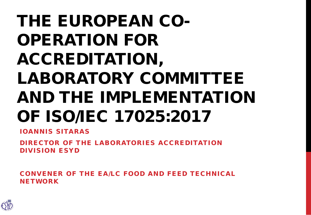# THE EUROPEAN CO-OPERATION FOR ACCREDITATION, LABORATORY COMMITTEE AND THE IMPLEMENTATION OF ISO/IEC 17025:2017

IOANNIS SITARAS

DIRECTOR OF THE LABORATORIES ACCREDITATION DIVISION ESYD

CONVENER OF THE EA/LC FOOD AND FEED TECHNICAL NETWORK

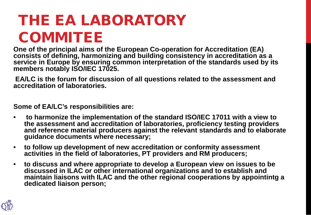# THE EA LABORATORY **COMMITEE**

**One of the principal aims of the European Co-operation for Accreditation (EA) consists of defining, harmonizing and building consistency in accreditation as a service in Europe by ensuring common interpretation of the standards used by its members notably ISO/IEC 17025.** 

**EA/LC is the forum for discussion of all questions related to the assessment and accreditation of laboratories.** 

**Some of EA/LC's responsibilities are:** 

- **to harmonize the implementation of the standard ISO/IEC 17011 with a view to the assessment and accreditation of laboratories, proficiency testing providers and reference material producers against the relevant standards and to elaborate guidance documents where necessary;**
- **to follow up development of new accreditation or conformity assessment activities in the field of laboratories, PT providers and RM producers;**
- **to discuss and where appropriate to develop a European view on issues to be discussed in ILAC or other international organizations and to establish and maintain liaisons with ILAC and the other regional cooperations by appointintg a dedicated liaison person;**

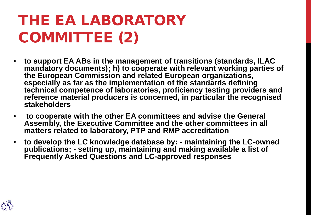# THE EA LABORATORY COMMITTEE (2)

- **to support EA ABs in the management of transitions (standards, ILAC mandatory documents); h) to cooperate with relevant working parties of the European Commission and related European organizations, especially as far as the implementation of the standards defining technical competence of laboratories, proficiency testing providers and reference material producers is concerned, in particular the recognised stakeholders**
- **to cooperate with the other EA committees and advise the General Assembly, the Executive Committee and the other committees in all matters related to laboratory, PTP and RMP accreditation**
- **to develop the LC knowledge database by: - maintaining the LC-owned publications; - setting up, maintaining and making available a list of Frequently Asked Questions and LC-approved responses**

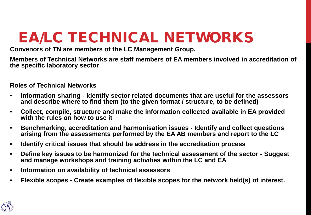# EA/LC TECHNICAL NETWORKS

**Convenors of TN are members of the LC Management Group.** 

**Members of Technical Networks are staff members of EA members involved in accreditation of the specific laboratory sector** 

**Roles of Technical Networks**

- **Information sharing - Identify sector related documents that are useful for the assessors**  and describe where to find them (to the given format / structure, to be defined)
- **Collect, compile, structure and make the information collected available in EA provided with the rules on how to use it**
- **Benchmarking, accreditation and harmonisation issues - Identify and collect questions arising from the assessments performed by the EA AB members and report to the LC**
- **Identify critical issues that should be address in the accreditation process**
- **Define key issues to be harmonized for the technical assessment of the sector - Suggest and manage workshops and training activities within the LC and EA**
- **Information on availability of technical assessors**
- **Flexible scopes - Create examples of flexible scopes for the network field(s) of interest.**

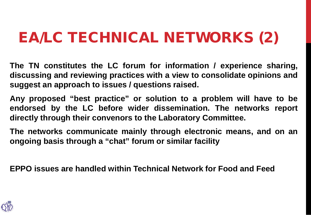### EA/LC TECHNICAL NETWORKS (2)

**The TN constitutes the LC forum for information / experience sharing, discussing and reviewing practices with a view to consolidate opinions and suggest an approach to issues / questions raised.**

**Any proposed "best practice" or solution to a problem will have to be endorsed by the LC before wider dissemination. The networks report directly through their convenors to the Laboratory Committee.**

**The networks communicate mainly through electronic means, and on an ongoing basis through a "chat" forum or similar facility**

**EPPO issues are handled within Technical Network for Food and Feed**

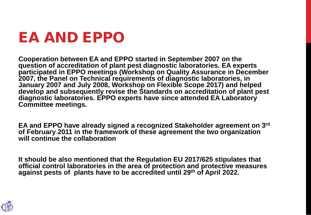#### EA AND EPPO

**Cooperation between EA and EPPO started in September 2007 on the question of accreditation of plant pest diagnostic laboratories. EA experts participated in EPPO meetings (Workshop on Quality Assurance in December 2007, the Panel on Technical requirements of diagnostic laboratories, in January 2007 and July 2008, Workshop on Flexible Scope 2017) and helped develop and subsequently revise the Standards on accreditation of plant pest diagnostic laboratories. EPPO experts have since attended EA Laboratory Committee meetings.** 

**EA and EPPO have already signed a recognized Stakeholder agreement on 3rd of February 2011 in the framework of these agreement the two organization will continue the collaboration** 

**It should be also mentioned that the Regulation EU 2017/625 stipulates that official control laboratories in the area of protection and protective measures against pests of plants have to be accredited until 29th of April 2022.**

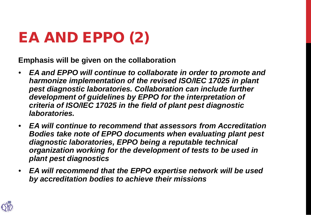# EA AND EPPO (2)

**Emphasis will be given on the collaboration** 

- *EA and EPPO will continue to collaborate in order to promote and harmonize implementation of the revised ISO/IEC 17025 in plant pest diagnostic laboratories. Collaboration can include further development of guidelines by EPPO for the interpretation of criteria of ISO/IEC 17025 in the field of plant pest diagnostic laboratories.*
- *EA will continue to recommend that assessors from Accreditation Bodies take note of EPPO documents when evaluating plant pest diagnostic laboratories, EPPO being a reputable technical organization working for the development of tests to be used in plant pest diagnostics*
- *EA will recommend that the EPPO expertise network will be used by accreditation bodies to achieve their missions*

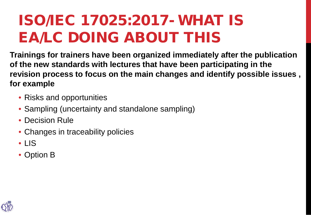#### ISO/IEC 17025:2017- WHAT IS EA/LC DOING ABOUT THIS

**Trainings for trainers have been organized immediately after the publication of the new standards with lectures that have been participating in the revision process to focus on the main changes and identify possible issues , for example**

- Risks and opportunities
- Sampling (uncertainty and standalone sampling)
- Decision Rule
- Changes in traceability policies
- LIS
- Option B

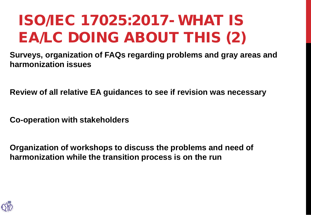# ISO/IEC 17025:2017- WHAT IS EA/LC DOING ABOUT THIS (2)

**Surveys, organization of FAQs regarding problems and gray areas and harmonization issues**

**Review of all relative EA guidances to see if revision was necessary** 

**Co-operation with stakeholders** 

**Organization of workshops to discuss the problems and need of harmonization while the transition process is on the run**

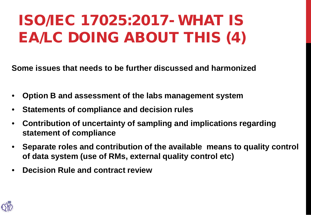# ISO/IEC 17025:2017- WHAT IS EA/LC DOING ABOUT THIS (4)

**Some issues that needs to be further discussed and harmonized**

- **Option B and assessment of the labs management system**
- **Statements of compliance and decision rules**
- **Contribution of uncertainty of sampling and implications regarding statement of compliance**
- **Separate roles and contribution of the available means to quality control of data system (use of RMs, external quality control etc)**
- **Decision Rule and contract review**